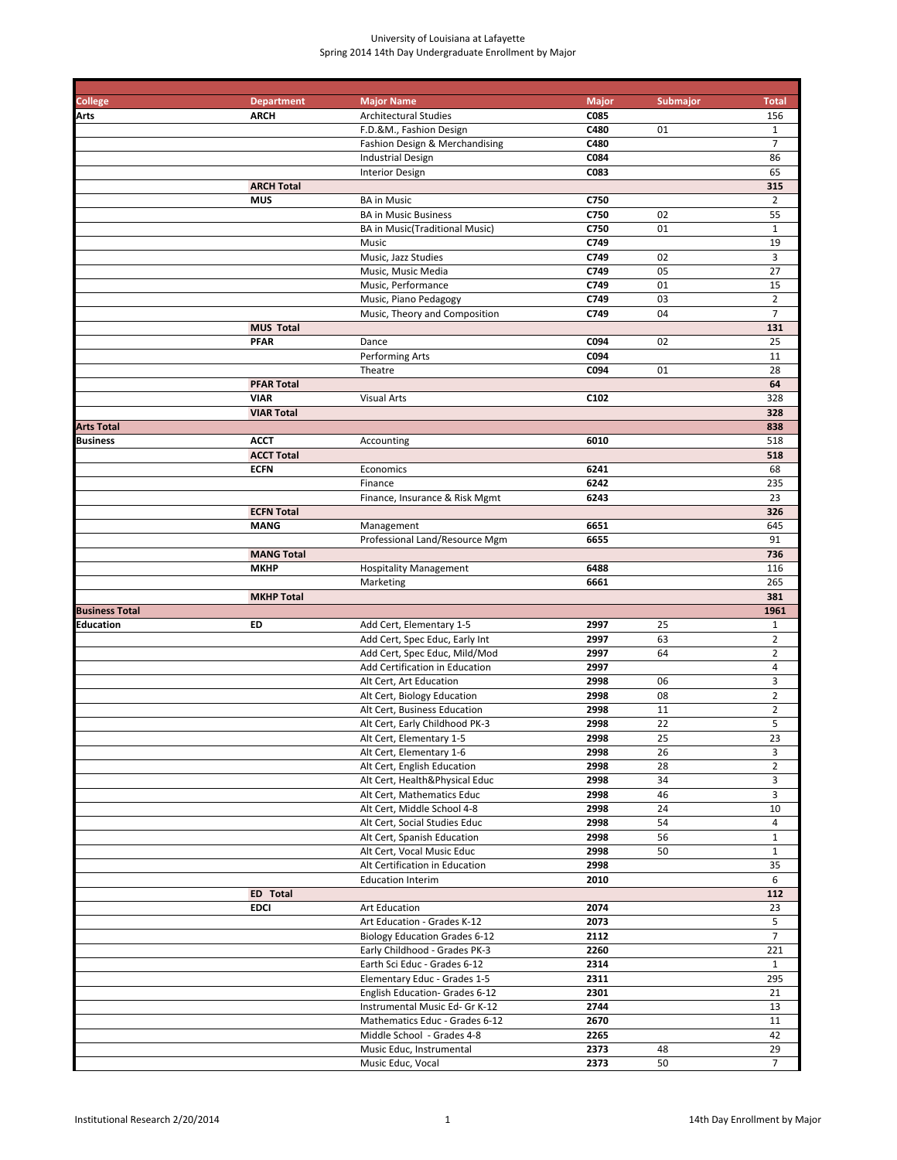| <b>College</b>        | <b>Department</b> | <b>Major Name</b>                                       | <b>Major</b> | <b>Submajor</b> | <b>Total</b>        |
|-----------------------|-------------------|---------------------------------------------------------|--------------|-----------------|---------------------|
| Arts                  | <b>ARCH</b>       | <b>Architectural Studies</b>                            | C085         |                 | 156                 |
|                       |                   | F.D.&M., Fashion Design                                 | C480         | 01              | $\mathbf{1}$        |
|                       |                   | Fashion Design & Merchandising                          | C480         |                 | $\overline{7}$      |
|                       |                   | <b>Industrial Design</b>                                | C084<br>C083 |                 | 86<br>65            |
|                       | <b>ARCH Total</b> | <b>Interior Design</b>                                  |              |                 | 315                 |
|                       | <b>MUS</b>        | <b>BA</b> in Music                                      | C750         |                 | $\overline{2}$      |
|                       |                   | <b>BA in Music Business</b>                             | C750         | 02              | 55                  |
|                       |                   | BA in Music(Traditional Music)                          | C750         | 01              | $\mathbf{1}$        |
|                       |                   | Music                                                   | C749         |                 | 19                  |
|                       |                   | Music, Jazz Studies                                     | C749         | 02              | 3                   |
|                       |                   | Music, Music Media                                      | C749         | 05              | 27                  |
|                       |                   | Music, Performance                                      | C749         | 01              | 15                  |
|                       |                   | Music, Piano Pedagogy                                   | C749         | 03              | $\overline{2}$      |
|                       |                   | Music, Theory and Composition                           | C749         | 04              | 7                   |
|                       | <b>MUS Total</b>  |                                                         |              |                 | 131                 |
|                       | <b>PFAR</b>       | Dance                                                   | C094         | 02              | 25                  |
|                       |                   | Performing Arts                                         | C094         |                 | 11                  |
|                       |                   | Theatre                                                 | C094         | 01              | 28                  |
|                       | <b>PFAR Total</b> |                                                         |              |                 | 64                  |
|                       | <b>VIAR</b>       | <b>Visual Arts</b>                                      | C102         |                 | 328                 |
|                       | <b>VIAR Total</b> |                                                         |              |                 | 328                 |
| <b>Arts Total</b>     |                   |                                                         |              |                 | 838                 |
| <b>Business</b>       | <b>ACCT</b>       | Accounting                                              | 6010         |                 | 518                 |
|                       | <b>ACCT Total</b> |                                                         | 6241         |                 | 518                 |
|                       | <b>ECFN</b>       | Economics<br>Finance                                    | 6242         |                 | 68<br>235           |
|                       |                   | Finance, Insurance & Risk Mgmt                          | 6243         |                 | 23                  |
|                       | <b>ECFN Total</b> |                                                         |              |                 | 326                 |
|                       | <b>MANG</b>       | Management                                              | 6651         |                 | 645                 |
|                       |                   | Professional Land/Resource Mgm                          | 6655         |                 | 91                  |
|                       | <b>MANG Total</b> |                                                         |              |                 | 736                 |
|                       | <b>MKHP</b>       | <b>Hospitality Management</b>                           | 6488         |                 | 116                 |
|                       |                   | Marketing                                               | 6661         |                 | 265                 |
|                       | <b>MKHP Total</b> |                                                         |              |                 | 381                 |
| <b>Business Total</b> |                   |                                                         |              |                 | 1961                |
| Education             | ED                | Add Cert, Elementary 1-5                                | 2997         | 25              | $\mathbf{1}$        |
|                       |                   | Add Cert, Spec Educ, Early Int                          | 2997         | 63              | $\overline{2}$      |
|                       |                   | Add Cert, Spec Educ, Mild/Mod                           | 2997         | 64              | $\overline{2}$      |
|                       |                   | Add Certification in Education                          | 2997         |                 | $\sqrt{4}$          |
|                       |                   | Alt Cert, Art Education                                 | 2998         | 06              | 3                   |
|                       |                   | Alt Cert, Biology Education                             | 2998         | 08              | $\overline{2}$      |
|                       |                   | Alt Cert, Business Education                            | 2998         | 11              | $\overline{2}$      |
|                       |                   | Alt Cert, Early Childhood PK-3                          | 2998         | 22<br>25        | 5<br>23             |
|                       |                   | Alt Cert, Elementary 1-5                                | 2998         |                 |                     |
|                       |                   | Alt Cert, Elementary 1-6<br>Alt Cert, English Education | 2998<br>2998 | 26<br>28        | 3<br>$\overline{2}$ |
|                       |                   | Alt Cert, Health&Physical Educ                          | 2998         | 34              | 3                   |
|                       |                   | Alt Cert, Mathematics Educ                              | 2998         | 46              | 3                   |
|                       |                   | Alt Cert, Middle School 4-8                             | 2998         | 24              | 10                  |
|                       |                   | Alt Cert, Social Studies Educ                           | 2998         | 54              | 4                   |
|                       |                   | Alt Cert, Spanish Education                             | 2998         | 56              | $\mathbf{1}$        |
|                       |                   | Alt Cert, Vocal Music Educ                              | 2998         | 50              | $\mathbf{1}$        |
|                       |                   | Alt Certification in Education                          | 2998         |                 | 35                  |
|                       |                   | <b>Education Interim</b>                                | 2010         |                 | 6                   |
|                       | ED Total          |                                                         |              |                 | 112                 |
|                       | <b>EDCI</b>       | Art Education                                           | 2074         |                 | 23                  |
|                       |                   | Art Education - Grades K-12                             | 2073         |                 | 5                   |
|                       |                   | <b>Biology Education Grades 6-12</b>                    | 2112         |                 | $\overline{7}$      |
|                       |                   | Early Childhood - Grades PK-3                           | 2260         |                 | 221                 |
|                       |                   | Earth Sci Educ - Grades 6-12                            | 2314         |                 | $\mathbf{1}$        |
|                       |                   | Elementary Educ - Grades 1-5                            | 2311         |                 | 295                 |
|                       |                   | English Education- Grades 6-12                          | 2301         |                 | 21                  |
|                       |                   | Instrumental Music Ed- Gr K-12                          | 2744         |                 | 13                  |
|                       |                   | Mathematics Educ - Grades 6-12                          | 2670         |                 | 11                  |
|                       |                   | Middle School - Grades 4-8                              | 2265         | 48              | 42<br>29            |
|                       |                   | Music Educ, Instrumental<br>Music Educ, Vocal           | 2373<br>2373 | 50              | $\overline{7}$      |
|                       |                   |                                                         |              |                 |                     |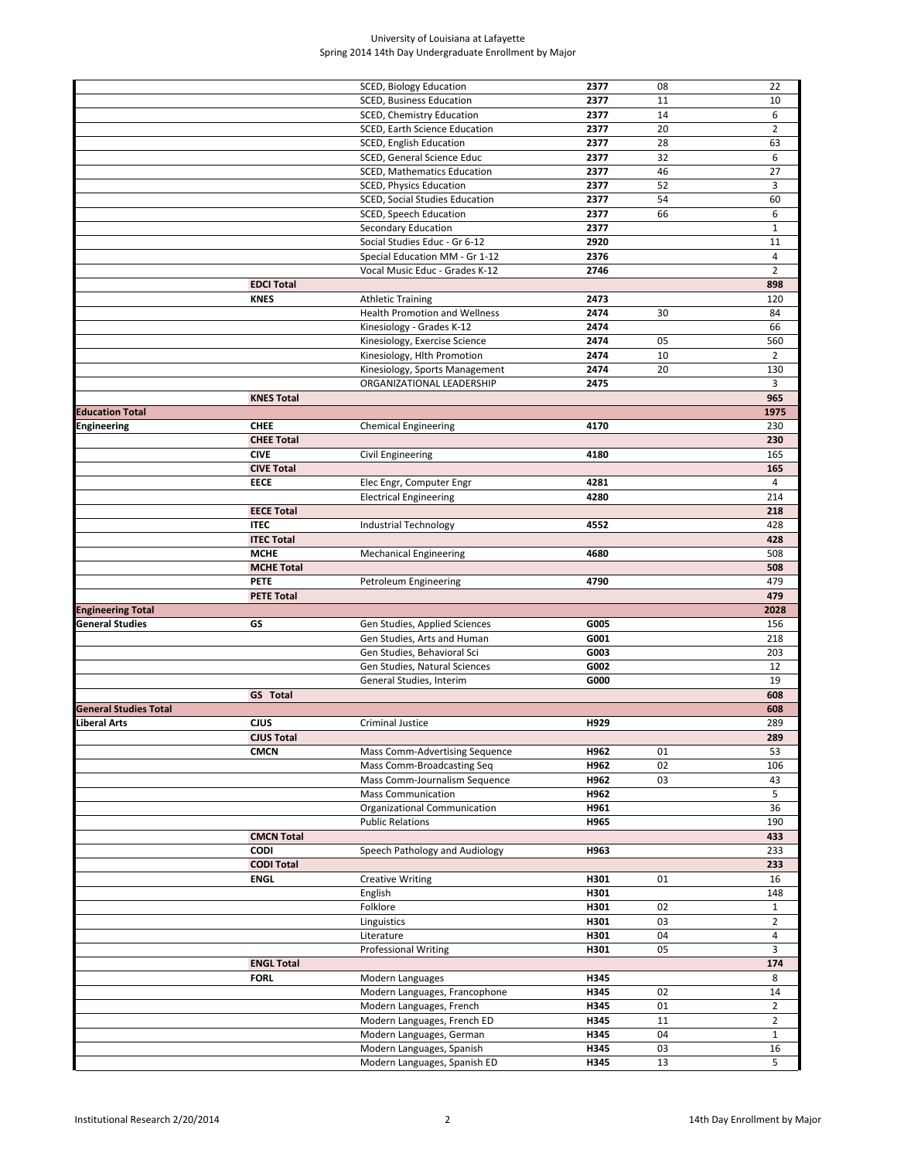|                              |                   | SCED, Biology Education              | 2377 | 08 | 22             |
|------------------------------|-------------------|--------------------------------------|------|----|----------------|
|                              |                   | SCED, Business Education             | 2377 | 11 | 10             |
|                              |                   | SCED, Chemistry Education            | 2377 | 14 | 6              |
|                              |                   | SCED, Earth Science Education        | 2377 | 20 | $\overline{2}$ |
|                              |                   | SCED, English Education              | 2377 | 28 | 63             |
|                              |                   |                                      |      |    |                |
|                              |                   | SCED, General Science Educ           | 2377 | 32 | 6              |
|                              |                   | <b>SCED, Mathematics Education</b>   | 2377 | 46 | 27             |
|                              |                   | SCED, Physics Education              | 2377 | 52 | 3              |
|                              |                   | SCED, Social Studies Education       | 2377 | 54 | 60             |
|                              |                   | SCED, Speech Education               | 2377 | 66 | 6              |
|                              |                   |                                      |      |    |                |
|                              |                   | Secondary Education                  | 2377 |    | $\mathbf{1}$   |
|                              |                   | Social Studies Educ - Gr 6-12        | 2920 |    | 11             |
|                              |                   | Special Education MM - Gr 1-12       | 2376 |    | $\overline{4}$ |
|                              |                   | Vocal Music Educ - Grades K-12       | 2746 |    | $\overline{2}$ |
|                              | <b>EDCI Total</b> |                                      |      |    | 898            |
|                              | <b>KNES</b>       |                                      |      |    | 120            |
|                              |                   | <b>Athletic Training</b>             | 2473 |    |                |
|                              |                   | <b>Health Promotion and Wellness</b> | 2474 | 30 | 84             |
|                              |                   | Kinesiology - Grades K-12            | 2474 |    | 66             |
|                              |                   | Kinesiology, Exercise Science        | 2474 | 05 | 560            |
|                              |                   | Kinesiology, Hlth Promotion          | 2474 | 10 | $\overline{2}$ |
|                              |                   | Kinesiology, Sports Management       | 2474 | 20 | 130            |
|                              |                   |                                      |      |    |                |
|                              |                   | ORGANIZATIONAL LEADERSHIP            | 2475 |    | 3              |
|                              | <b>KNES Total</b> |                                      |      |    | 965            |
| <b>Education Total</b>       |                   |                                      |      |    | 1975           |
| Engineering                  | <b>CHEE</b>       | <b>Chemical Engineering</b>          | 4170 |    | 230            |
|                              | <b>CHEE Total</b> |                                      |      |    | 230            |
|                              |                   |                                      |      |    |                |
|                              | <b>CIVE</b>       | Civil Engineering                    | 4180 |    | 165            |
|                              | <b>CIVE Total</b> |                                      |      |    | 165            |
|                              | <b>EECE</b>       | Elec Engr, Computer Engr             | 4281 |    | 4              |
|                              |                   | <b>Electrical Engineering</b>        | 4280 |    | 214            |
|                              | <b>EECE Total</b> |                                      |      |    | 218            |
|                              | <b>ITEC</b>       |                                      | 4552 |    | 428            |
|                              |                   | Industrial Technology                |      |    |                |
|                              | <b>ITEC Total</b> |                                      |      |    | 428            |
|                              | <b>MCHE</b>       | <b>Mechanical Engineering</b>        | 4680 |    | 508            |
|                              | <b>MCHE Total</b> |                                      |      |    | 508            |
|                              | <b>PETE</b>       | Petroleum Engineering                | 4790 |    | 479            |
|                              | <b>PETE Total</b> |                                      |      |    | 479            |
|                              |                   |                                      |      |    |                |
| <b>Engineering Total</b>     |                   |                                      |      |    | 2028           |
| <b>General Studies</b>       | GS                | Gen Studies, Applied Sciences        | G005 |    | 156            |
|                              |                   | Gen Studies, Arts and Human          | G001 |    | 218            |
|                              |                   | Gen Studies, Behavioral Sci          | G003 |    | 203            |
|                              |                   | Gen Studies, Natural Sciences        | G002 |    | 12             |
|                              |                   | General Studies, Interim             | G000 |    | 19             |
|                              |                   |                                      |      |    |                |
|                              | GS Total          |                                      |      |    | 608            |
| <b>General Studies Total</b> |                   |                                      |      |    | 608            |
| Liberal Arts                 | CJUS              | <b>Criminal Justice</b>              | H929 |    | 289            |
|                              | <b>CJUS Total</b> |                                      |      |    | 289            |
|                              | <b>CMCN</b>       | Mass Comm-Advertising Sequence       | H962 | 01 | 53             |
|                              |                   |                                      |      |    |                |
|                              |                   | Mass Comm-Broadcasting Seq           | H962 | 02 | 106            |
|                              |                   | Mass Comm-Journalism Sequence        | H962 | 03 | 43             |
|                              |                   | <b>Mass Communication</b>            | H962 |    | 5              |
|                              |                   | Organizational Communication         | H961 |    | 36             |
|                              |                   | <b>Public Relations</b>              | H965 |    | 190            |
|                              | <b>CMCN Total</b> |                                      |      |    | 433            |
|                              |                   |                                      |      |    |                |
|                              | <b>CODI</b>       | Speech Pathology and Audiology       | H963 |    | 233            |
|                              | <b>CODI Total</b> |                                      |      |    | 233            |
|                              | <b>ENGL</b>       | <b>Creative Writing</b>              | H301 | 01 | 16             |
|                              |                   | English                              | H301 |    | 148            |
|                              |                   | Folklore                             | H301 | 02 | $\mathbf{1}$   |
|                              |                   | Linguistics                          | H301 | 03 | $\overline{2}$ |
|                              |                   |                                      |      |    |                |
|                              |                   | Literature                           | H301 | 04 | $\overline{a}$ |
|                              |                   | <b>Professional Writing</b>          | H301 | 05 | 3              |
|                              | <b>ENGL Total</b> |                                      |      |    | 174            |
|                              | <b>FORL</b>       | Modern Languages                     | H345 |    | 8              |
|                              |                   | Modern Languages, Francophone        | H345 | 02 | 14             |
|                              |                   |                                      |      |    |                |
|                              |                   | Modern Languages, French             | H345 | 01 | $\overline{2}$ |
|                              |                   | Modern Languages, French ED          | H345 | 11 | $\overline{2}$ |
|                              |                   | Modern Languages, German             | H345 | 04 | $\mathbf{1}$   |
|                              |                   | Modern Languages, Spanish            | H345 | 03 | 16             |
|                              |                   | Modern Languages, Spanish ED         | H345 | 13 | 5              |
|                              |                   |                                      |      |    |                |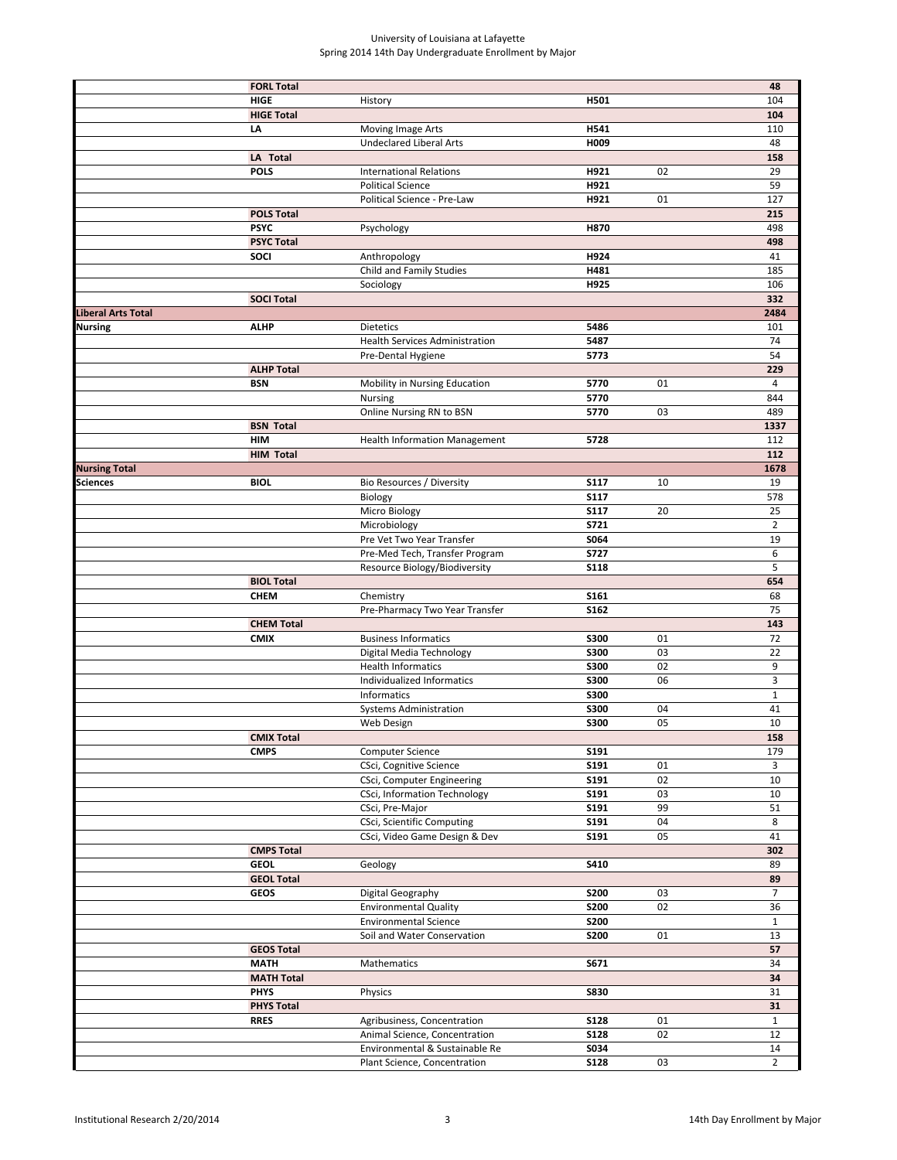|                      | <b>FORL Total</b> |                                       |             |    | 48             |
|----------------------|-------------------|---------------------------------------|-------------|----|----------------|
|                      | <b>HIGE</b>       | History                               | H501        |    | 104            |
|                      | <b>HIGE Total</b> |                                       |             |    | 104            |
|                      | LA                | Moving Image Arts                     | H541        |    | 110            |
|                      |                   | <b>Undeclared Liberal Arts</b>        | H009        |    | 48             |
|                      | LA Total          |                                       |             |    | 158            |
|                      | <b>POLS</b>       | <b>International Relations</b>        | H921        | 02 | 29             |
|                      |                   | <b>Political Science</b>              | H921        |    | 59             |
|                      |                   | Political Science - Pre-Law           | H921        | 01 | 127            |
|                      | <b>POLS Total</b> |                                       |             |    | 215            |
|                      | <b>PSYC</b>       | Psychology                            | H870        |    | 498            |
|                      | <b>PSYC Total</b> |                                       |             |    | 498            |
|                      | <b>SOCI</b>       | Anthropology                          | H924        |    | 41             |
|                      |                   | Child and Family Studies              | H481        |    | 185            |
|                      |                   | Sociology                             | H925        |    | 106            |
|                      | <b>SOCI Total</b> |                                       |             |    | 332            |
| Liberal Arts Total   |                   |                                       |             |    | 2484           |
| Nursing              | <b>ALHP</b>       | <b>Dietetics</b>                      | 5486        |    | 101            |
|                      |                   | <b>Health Services Administration</b> | 5487        |    | 74             |
|                      | <b>ALHP Total</b> | Pre-Dental Hygiene                    | 5773        |    | 54<br>229      |
|                      | <b>BSN</b>        | Mobility in Nursing Education         | 5770        | 01 | $\overline{4}$ |
|                      |                   | Nursing                               | 5770        |    | 844            |
|                      |                   | Online Nursing RN to BSN              | 5770        | 03 | 489            |
|                      | <b>BSN Total</b>  |                                       |             |    | 1337           |
|                      | <b>HIM</b>        | <b>Health Information Management</b>  | 5728        |    | 112            |
|                      | <b>HIM Total</b>  |                                       |             |    | 112            |
| <b>Nursing Total</b> |                   |                                       |             |    | 1678           |
| Sciences             | <b>BIOL</b>       | Bio Resources / Diversity             | <b>S117</b> | 10 | 19             |
|                      |                   | Biology                               | <b>S117</b> |    | 578            |
|                      |                   | Micro Biology                         | <b>S117</b> | 20 | 25             |
|                      |                   | Microbiology                          | <b>S721</b> |    | $\overline{2}$ |
|                      |                   | Pre Vet Two Year Transfer             | S064        |    | 19             |
|                      |                   | Pre-Med Tech, Transfer Program        | <b>S727</b> |    | 6              |
|                      |                   | Resource Biology/Biodiversity         | <b>S118</b> |    | 5              |
|                      | <b>BIOL Total</b> |                                       |             |    | 654            |
|                      | <b>CHEM</b>       | Chemistry                             | S161        |    | 68             |
|                      |                   | Pre-Pharmacy Two Year Transfer        | <b>S162</b> |    | 75             |
|                      | <b>CHEM Total</b> |                                       |             |    | 143            |
|                      | <b>CMIX</b>       | <b>Business Informatics</b>           | <b>S300</b> | 01 | 72             |
|                      |                   | Digital Media Technology              | <b>S300</b> | 03 | 22             |
|                      |                   | <b>Health Informatics</b>             | <b>S300</b> | 02 | 9              |
|                      |                   | Individualized Informatics            | <b>S300</b> | 06 | 3              |
|                      |                   | Informatics                           | <b>S300</b> |    | $\mathbf{1}$   |
|                      |                   | <b>Systems Administration</b>         | <b>S300</b> | 04 | 41             |
|                      |                   | Web Design                            | <b>S300</b> | 05 | 10             |
|                      | <b>CMIX Total</b> |                                       |             |    | 158            |
|                      | <b>CMPS</b>       | Computer Science                      | S191        |    | 179            |
|                      |                   | CSci, Cognitive Science               | S191        | 01 | 3              |
|                      |                   | CSci, Computer Engineering            | S191        | 02 | 10             |
|                      |                   | CSci, Information Technology          | S191        | 03 | 10             |
|                      |                   | CSci, Pre-Major                       | S191        | 99 | 51             |
|                      |                   | <b>CSci, Scientific Computing</b>     | S191        | 04 | 8              |
|                      |                   | CSci, Video Game Design & Dev         | S191        | 05 | 41             |
|                      | <b>CMPS Total</b> |                                       |             |    | 302            |
|                      | <b>GEOL</b>       | Geology                               | S410        |    | 89             |
|                      | <b>GEOL Total</b> |                                       |             |    | 89             |
|                      | <b>GEOS</b>       | Digital Geography                     | <b>S200</b> | 03 | $\overline{7}$ |
|                      |                   | <b>Environmental Quality</b>          | <b>S200</b> | 02 | 36             |
|                      |                   | <b>Environmental Science</b>          | <b>S200</b> |    | $\mathbf{1}$   |
|                      |                   | Soil and Water Conservation           | <b>S200</b> | 01 | 13             |
|                      | <b>GEOS Total</b> |                                       |             |    | 57             |
|                      | <b>MATH</b>       | Mathematics                           | S671        |    | 34             |
|                      | <b>MATH Total</b> |                                       |             |    | 34             |
|                      | <b>PHYS</b>       | Physics                               | <b>S830</b> |    | 31             |
|                      | <b>PHYS Total</b> |                                       |             |    | 31             |
|                      | <b>RRES</b>       | Agribusiness, Concentration           | <b>S128</b> | 01 | $\mathbf{1}$   |
|                      |                   | Animal Science, Concentration         | <b>S128</b> | 02 | 12             |
|                      |                   |                                       | S034        |    | 14             |
|                      |                   | Environmental & Sustainable Re        |             |    |                |
|                      |                   | Plant Science, Concentration          | <b>S128</b> | 03 | $\overline{2}$ |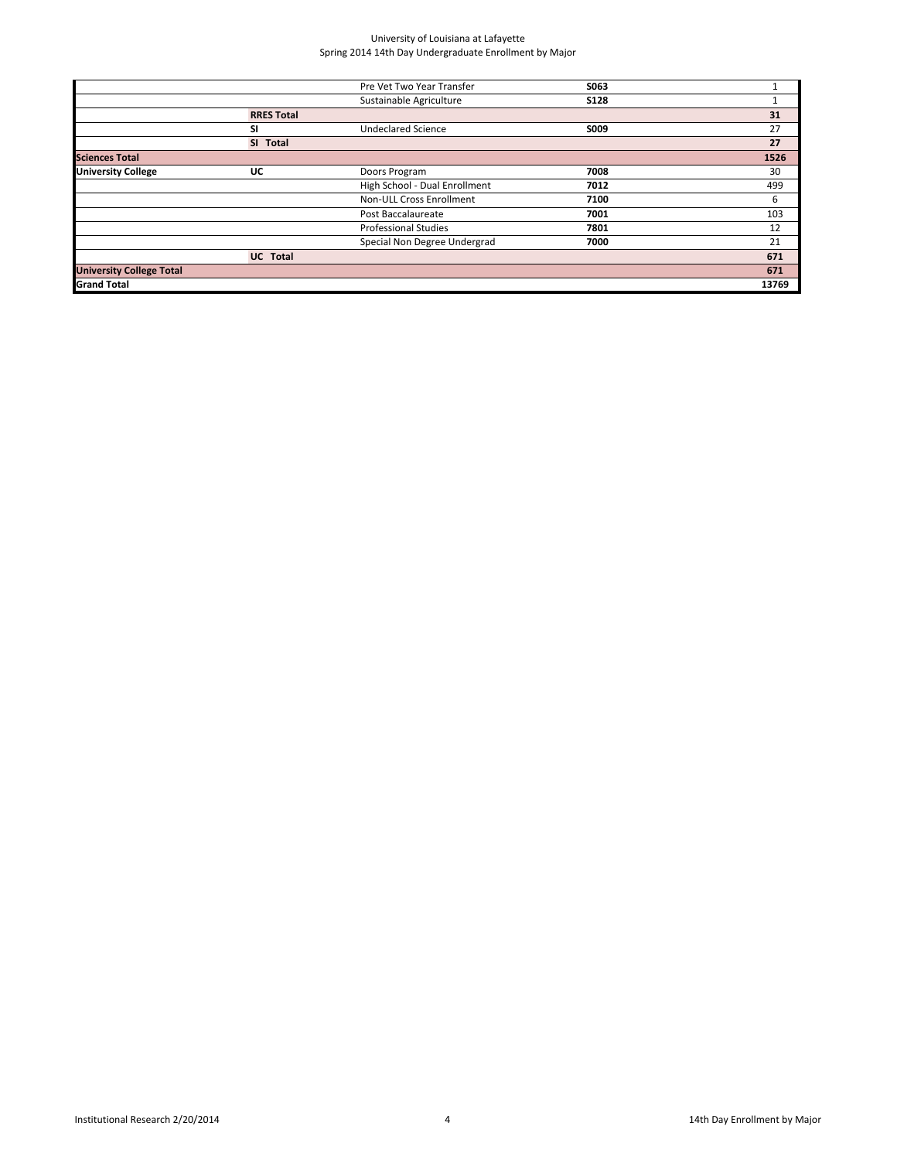|                   | Pre Vet Two Year Transfer     | S063        |       |
|-------------------|-------------------------------|-------------|-------|
|                   | Sustainable Agriculture       | <b>S128</b> |       |
| <b>RRES Total</b> |                               |             | 31    |
| SI                | <b>Undeclared Science</b>     | S009        | 27    |
| SI Total          |                               |             | 27    |
|                   |                               |             | 1526  |
| UC                | Doors Program                 | 7008        | 30    |
|                   | High School - Dual Enrollment | 7012        | 499   |
|                   | Non-ULL Cross Enrollment      | 7100        | 6     |
|                   | Post Baccalaureate            | 7001        | 103   |
|                   | <b>Professional Studies</b>   | 7801        | 12    |
|                   | Special Non Degree Undergrad  | 7000        | 21    |
| <b>UC</b> Total   |                               |             | 671   |
|                   |                               |             | 671   |
|                   |                               |             | 13769 |
|                   |                               |             |       |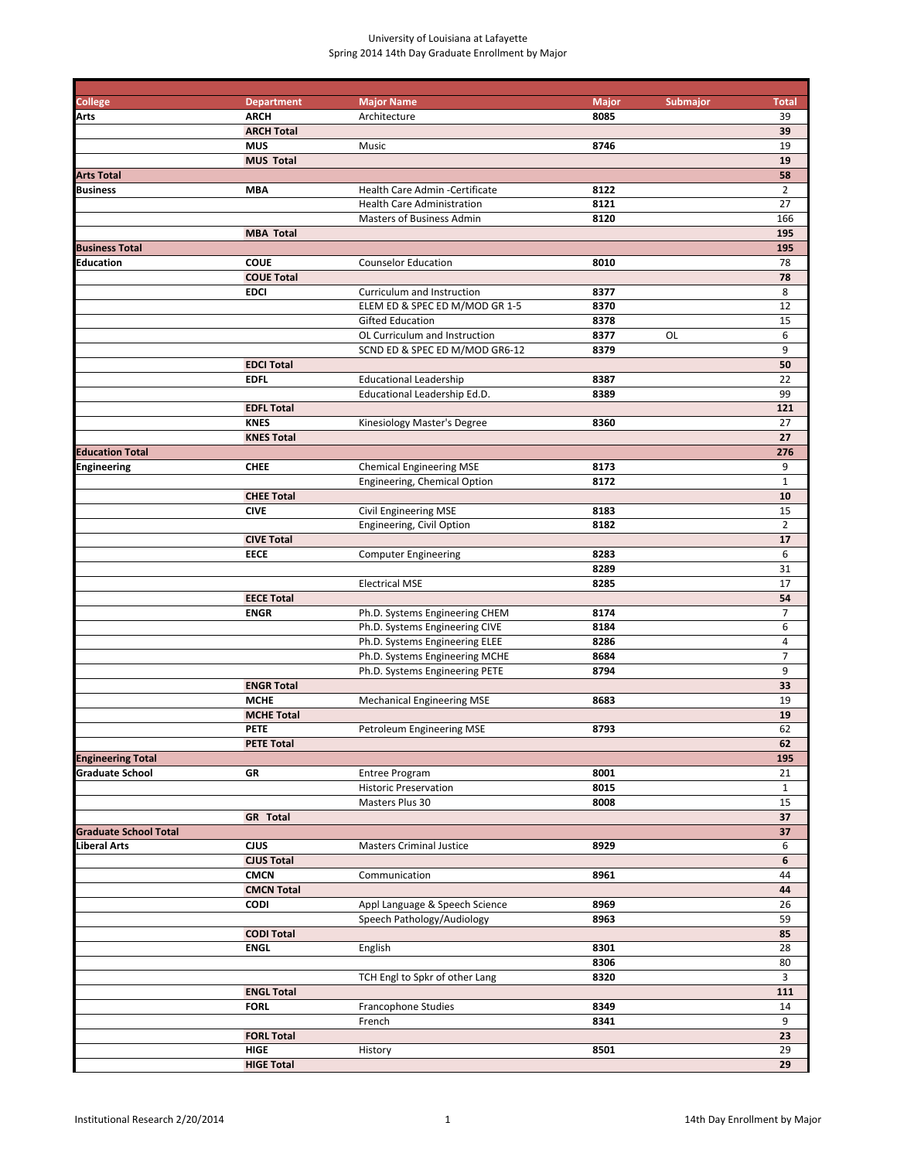| <b>College</b>               | <b>Department</b> | <b>Major Name</b>                 | <b>Major</b> | <b>Submajor</b> | <b>Total</b>   |
|------------------------------|-------------------|-----------------------------------|--------------|-----------------|----------------|
| Arts                         | <b>ARCH</b>       | Architecture                      | 8085         |                 | 39             |
|                              | <b>ARCH Total</b> |                                   |              |                 | 39             |
|                              | <b>MUS</b>        | Music                             | 8746         |                 | 19             |
|                              | <b>MUS Total</b>  |                                   |              |                 | 19             |
| <b>Arts Total</b>            |                   |                                   |              |                 | 58             |
| <b>Business</b>              | <b>MBA</b>        | Health Care Admin - Certificate   | 8122         |                 | $\overline{2}$ |
|                              |                   | <b>Health Care Administration</b> | 8121         |                 | 27             |
|                              |                   | Masters of Business Admin         | 8120         |                 | 166            |
|                              | <b>MBA Total</b>  |                                   |              |                 | 195            |
| <b>Business Total</b>        |                   |                                   |              |                 | 195            |
| Education                    | <b>COUE</b>       | <b>Counselor Education</b>        | 8010         |                 | 78             |
|                              | <b>COUE Total</b> |                                   |              |                 | 78             |
|                              | <b>EDCI</b>       | Curriculum and Instruction        | 8377         |                 | 8              |
|                              |                   | ELEM ED & SPEC ED M/MOD GR 1-5    | 8370         |                 | 12             |
|                              |                   | <b>Gifted Education</b>           | 8378         |                 | 15             |
|                              |                   | OL Curriculum and Instruction     | 8377         | OL              | 6              |
|                              |                   | SCND ED & SPEC ED M/MOD GR6-12    | 8379         |                 | 9              |
|                              | <b>EDCI Total</b> |                                   |              |                 | 50             |
|                              | <b>EDFL</b>       | <b>Educational Leadership</b>     | 8387         |                 | 22             |
|                              |                   | Educational Leadership Ed.D.      | 8389         |                 | 99             |
|                              | <b>EDFL Total</b> |                                   |              |                 | 121            |
|                              | <b>KNES</b>       | Kinesiology Master's Degree       | 8360         |                 | 27             |
|                              | <b>KNES Total</b> |                                   |              |                 | 27             |
| <b>Education Total</b>       |                   |                                   |              |                 | 276            |
| <b>Engineering</b>           | <b>CHEE</b>       | <b>Chemical Engineering MSE</b>   | 8173         |                 | 9              |
|                              |                   | Engineering, Chemical Option      | 8172         |                 | $\mathbf{1}$   |
|                              | <b>CHEE Total</b> |                                   |              |                 | 10             |
|                              | <b>CIVE</b>       | Civil Engineering MSE             | 8183         |                 | 15             |
|                              |                   | Engineering, Civil Option         | 8182         |                 | $\overline{2}$ |
|                              | <b>CIVE Total</b> |                                   |              |                 | 17             |
|                              | <b>EECE</b>       | <b>Computer Engineering</b>       | 8283         |                 | 6              |
|                              |                   |                                   | 8289         |                 | 31             |
|                              |                   | <b>Electrical MSE</b>             | 8285         |                 | 17             |
|                              | <b>EECE Total</b> |                                   |              |                 | 54             |
|                              | <b>ENGR</b>       | Ph.D. Systems Engineering CHEM    | 8174         |                 | $\overline{7}$ |
|                              |                   | Ph.D. Systems Engineering CIVE    | 8184         |                 | 6              |
|                              |                   | Ph.D. Systems Engineering ELEE    | 8286         |                 | $\overline{a}$ |
|                              |                   | Ph.D. Systems Engineering MCHE    | 8684         |                 | $\overline{7}$ |
|                              |                   | Ph.D. Systems Engineering PETE    | 8794         |                 | 9              |
|                              | <b>ENGR Total</b> |                                   |              |                 | 33             |
|                              | <b>MCHE</b>       | <b>Mechanical Engineering MSE</b> | 8683         |                 | 19             |
|                              | <b>MCHE Total</b> |                                   |              |                 | 19             |
|                              | <b>PETE</b>       | Petroleum Engineering MSE         | 8793         |                 | 62             |
|                              | <b>PETE Total</b> |                                   |              |                 | 62             |
| <b>Engineering Total</b>     |                   |                                   |              |                 | 195            |
| <b>Graduate School</b>       | GR                | <b>Entree Program</b>             | 8001         |                 | 21             |
|                              |                   | <b>Historic Preservation</b>      | 8015         |                 | $\mathbf{1}$   |
|                              |                   | Masters Plus 30                   | 8008         |                 | 15             |
|                              | <b>GR</b> Total   |                                   |              |                 | 37             |
| <b>Graduate School Total</b> |                   |                                   |              |                 | 37             |
| Liberal Arts                 | CJUS              | <b>Masters Criminal Justice</b>   | 8929         |                 | 6              |
|                              | <b>CJUS Total</b> |                                   |              |                 | 6              |
|                              | <b>CMCN</b>       | Communication                     | 8961         |                 | 44             |
|                              | <b>CMCN Total</b> |                                   |              |                 | 44             |
|                              | <b>CODI</b>       | Appl Language & Speech Science    | 8969         |                 | 26             |
|                              |                   | Speech Pathology/Audiology        | 8963         |                 | 59             |
|                              | <b>CODI Total</b> |                                   |              |                 | 85             |
|                              | <b>ENGL</b>       | English                           | 8301         |                 | 28             |
|                              |                   |                                   | 8306         |                 | 80             |
|                              |                   | TCH Engl to Spkr of other Lang    | 8320         |                 | $\overline{3}$ |
|                              | <b>ENGL Total</b> |                                   |              |                 | 111            |
|                              | <b>FORL</b>       | Francophone Studies               | 8349         |                 | 14             |
|                              |                   | French                            | 8341         |                 | 9              |
|                              | <b>FORL Total</b> |                                   |              |                 | 23             |
|                              | HIGE              | History                           | 8501         |                 | 29             |
|                              | <b>HIGE Total</b> |                                   |              |                 | 29             |